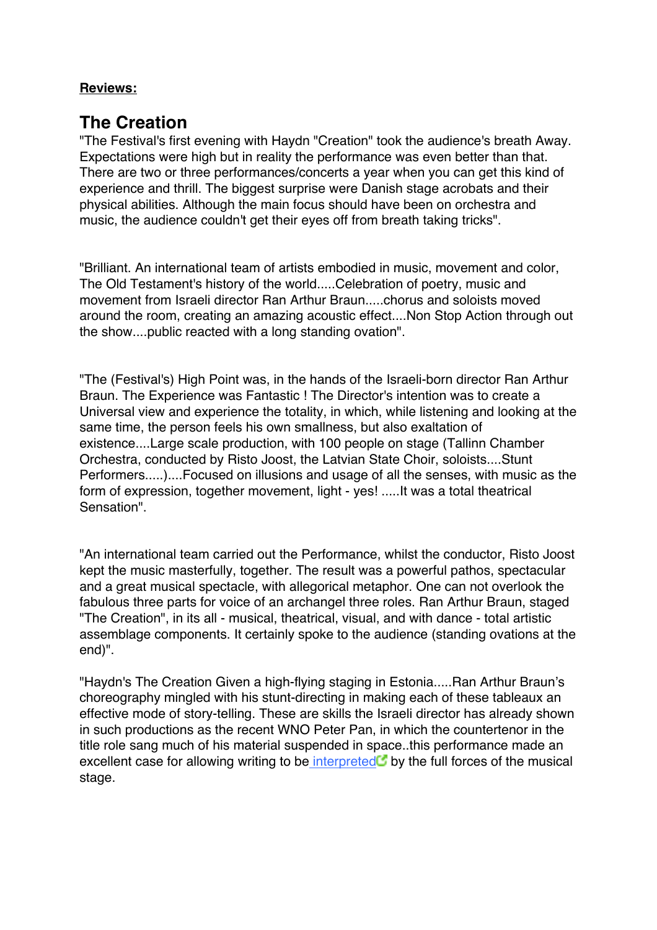### **Reviews:**

# **The Creation**

"The Festival's first evening with Haydn "Creation" took the audience's breath Away. Expectations were high but in reality the performance was even better than that. There are two or three performances/concerts a year when you can get this kind of experience and thrill. The biggest surprise were Danish stage acrobats and their physical abilities. Although the main focus should have been on orchestra and music, the audience couldn't get their eyes off from breath taking tricks".

"Brilliant. An international team of artists embodied in music, movement and color, The Old Testament's history of the world.....Celebration of poetry, music and movement from Israeli director Ran Arthur Braun.....chorus and soloists moved around the room, creating an amazing acoustic effect....Non Stop Action through out the show....public reacted with a long standing ovation".

"The (Festival's) High Point was, in the hands of the Israeli-born director Ran Arthur Braun. The Experience was Fantastic ! The Director's intention was to create a Universal view and experience the totality, in which, while listening and looking at the same time, the person feels his own smallness, but also exaltation of existence....Large scale production, with 100 people on stage (Tallinn Chamber Orchestra, conducted by Risto Joost, the Latvian State Choir, soloists....Stunt Performers.....)....Focused on illusions and usage of all the senses, with music as the form of expression, together movement, light - yes! .....It was a total theatrical Sensation".

"An international team carried out the Performance, whilst the conductor, Risto Joost kept the music masterfully, together. The result was a powerful pathos, spectacular and a great musical spectacle, with allegorical metaphor. One can not overlook the fabulous three parts for voice of an archangel three roles. Ran Arthur Braun, staged "The Creation", in its all - musical, theatrical, visual, and with dance - total artistic assemblage components. It certainly spoke to the audience (standing ovations at the end)".

"Haydn's The Creation Given a high-flying staging in Estonia.....Ran Arthur Braun's choreography mingled with his stunt-directing in making each of these tableaux an effective mode of story-telling. These are skills the Israeli director has already shown in such productions as the recent WNO Peter Pan, in which the countertenor in the title role sang much of his material suspended in space..this performance made an excellent case for allowing writing to be interpreted by the full forces of the musical stage.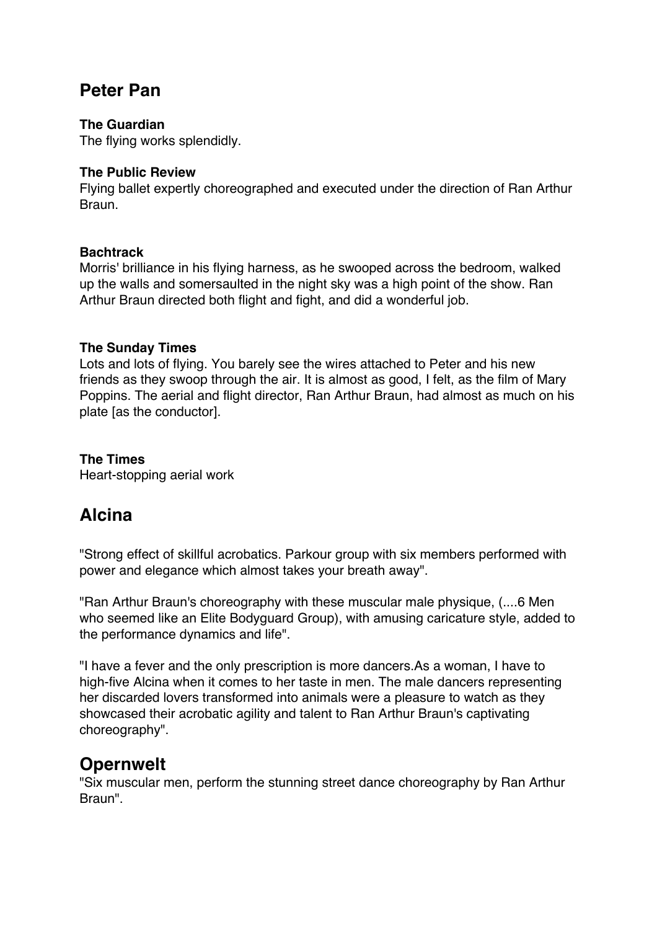## **Peter Pan**

#### **The Guardian**

The flying works splendidly.

#### **The Public Review**

Flying ballet expertly choreographed and executed under the direction of Ran Arthur Braun.

#### **Bachtrack**

Morris' brilliance in his flying harness, as he swooped across the bedroom, walked up the walls and somersaulted in the night sky was a high point of the show. Ran Arthur Braun directed both flight and fight, and did a wonderful job.

#### **The Sunday Times**

Lots and lots of flying. You barely see the wires attached to Peter and his new friends as they swoop through the air. It is almost as good, I felt, as the film of Mary Poppins. The aerial and flight director, Ran Arthur Braun, had almost as much on his plate [as the conductor].

**The Times** Heart-stopping aerial work

## **Alcina**

"Strong effect of skillful acrobatics. Parkour group with six members performed with power and elegance which almost takes your breath away".

"Ran Arthur Braun's choreography with these muscular male physique, (....6 Men who seemed like an Elite Bodyguard Group), with amusing caricature style, added to the performance dynamics and life".

"I have a fever and the only prescription is more dancers.As a woman, I have to high-five Alcina when it comes to her taste in men. The male dancers representing her discarded lovers transformed into animals were a pleasure to watch as they showcased their acrobatic agility and talent to Ran Arthur Braun's captivating choreography".

## **Opernwelt**

"Six muscular men, perform the stunning street dance choreography by Ran Arthur Braun".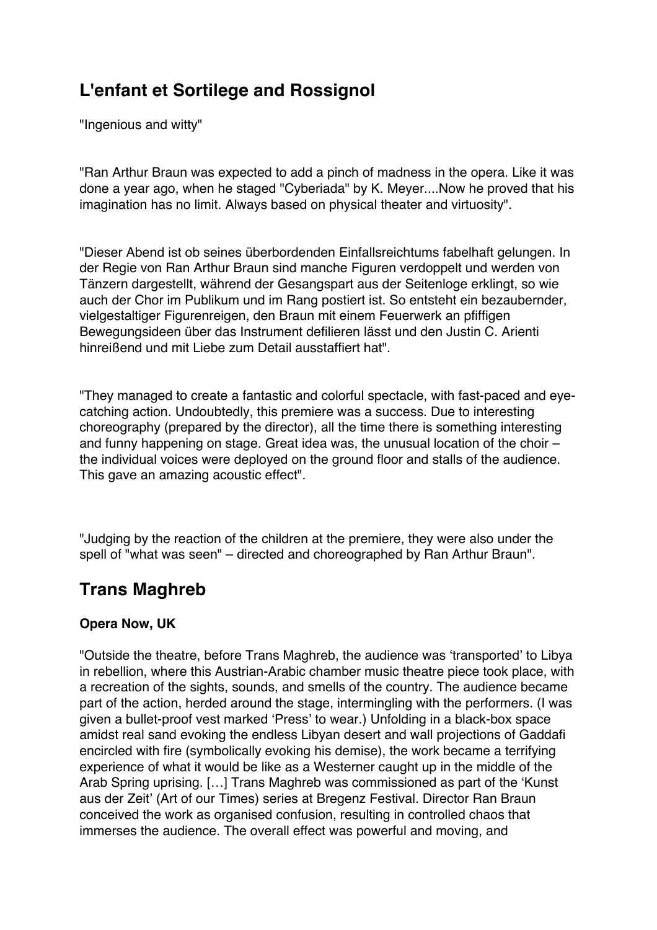# **L'enfant et Sortilege and Rossignol**

"Ingenious and witty"

"Ran Arthur Braun was expected to add a pinch of madness in the opera. Like it was done a year ago, when he staged "Cyberiada" by K. Meyer....Now he proved that his imagination has no limit. Always based on physical theater and virtuosity".

"Dieser Abend ist ob seines überbordenden Einfallsreichtums fabelhaft gelungen. In der Regie von Ran Arthur Braun sind manche Figuren verdoppelt und werden von Tänzern dargestellt, während der Gesangspart aus der Seitenloge erklingt, so wie auch der Chor im Publikum und im Rang postiert ist. So entsteht ein bezaubernder, vielgestaltiger Figurenreigen, den Braun mit einem Feuerwerk an pfiffigen Bewegungsideen über das Instrument defilieren lässt und den Justin C. Arienti hinreißend und mit Liebe zum Detail ausstaffiert hat".

"They managed to create a fantastic and colorful spectacle, with fast-paced and eyecatching action. Undoubtedly, this premiere was a success. Due to interesting choreography (prepared by the director), all the time there is something interesting and funny happening on stage. Great idea was, the unusual location of the choir – the individual voices were deployed on the ground floor and stalls of the audience. This gave an amazing acoustic effect".

"Judging by the reaction of the children at the premiere, they were also under the spell of "what was seen" – directed and choreographed by Ran Arthur Braun".

# **Trans Maghreb**

### **Opera Now, UK**

"Outside the theatre, before Trans Maghreb, the audience was 'transported' to Libya in rebellion, where this Austrian-Arabic chamber music theatre piece took place, with a recreation of the sights, sounds, and smells of the country. The audience became part of the action, herded around the stage, intermingling with the performers. (I was given a bullet-proof vest marked 'Press' to wear.) Unfolding in a black-box space amidst real sand evoking the endless Libyan desert and wall projections of Gaddafi encircled with fire (symbolically evoking his demise), the work became a terrifying experience of what it would be like as a Westerner caught up in the middle of the Arab Spring uprising. […] Trans Maghreb was commissioned as part of the 'Kunst aus der Zeit' (Art of our Times) series at Bregenz Festival. Director Ran Braun conceived the work as organised confusion, resulting in controlled chaos that immerses the audience. The overall effect was powerful and moving, and